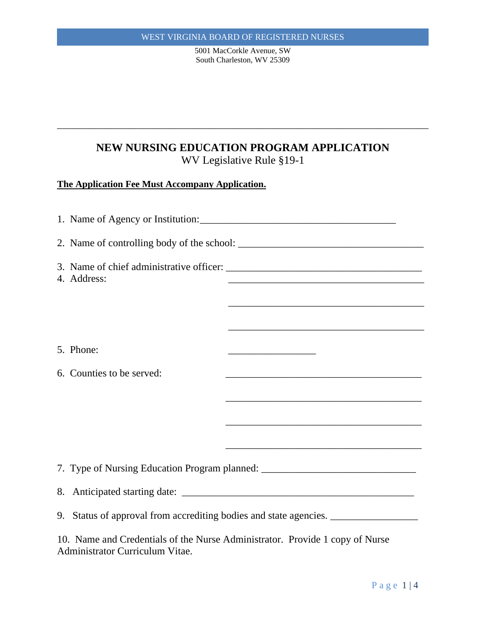5001 MacCorkle Avenue, SW South Charleston, WV 25309

# **NEW NURSING EDUCATION PROGRAM APPLICATION** WV Legislative Rule §19-1

\_\_\_\_\_\_\_\_\_\_\_\_\_\_\_\_\_\_\_\_\_\_\_\_\_\_\_\_\_\_\_\_\_\_\_\_\_\_\_\_\_\_\_\_\_\_\_\_\_\_\_\_\_\_\_\_\_\_\_\_\_\_\_\_\_\_\_\_\_\_\_\_\_\_\_\_\_\_

## **The Application Fee Must Accompany Application.**

|                                                                                                                 | 4. Address:                                                                      | <u> 1989 - Johann John Stone, mars et al. 1989 - John Stone, mars et al. 1989 - John Stone, mars et al. 1989 - John Stone</u> |  |
|-----------------------------------------------------------------------------------------------------------------|----------------------------------------------------------------------------------|-------------------------------------------------------------------------------------------------------------------------------|--|
|                                                                                                                 |                                                                                  |                                                                                                                               |  |
|                                                                                                                 |                                                                                  |                                                                                                                               |  |
|                                                                                                                 |                                                                                  |                                                                                                                               |  |
|                                                                                                                 | 5. Phone:                                                                        | <u> 1989 - Johann Barn, mars ann an t-</u>                                                                                    |  |
|                                                                                                                 | 6. Counties to be served:                                                        | the control of the control of the control of the control of the control of the control of                                     |  |
|                                                                                                                 |                                                                                  | <u> 1989 - Johann John Stone, market fan it ferskearre fan it ferskearre fan it ferskearre fan it ferskearre fan i</u>        |  |
|                                                                                                                 |                                                                                  |                                                                                                                               |  |
|                                                                                                                 |                                                                                  |                                                                                                                               |  |
|                                                                                                                 |                                                                                  | <u> 1989 - Johann John Stone, market fan it ferskearre fan it ferskearre fan it ferskearre fan it ferskearre fan i</u>        |  |
|                                                                                                                 | 7. Type of Nursing Education Program planned: __________________________________ |                                                                                                                               |  |
|                                                                                                                 |                                                                                  |                                                                                                                               |  |
|                                                                                                                 | 9. Status of approval from accrediting bodies and state agencies. ______________ |                                                                                                                               |  |
| 10. Name and Credentials of the Nurse Administrator. Provide 1 copy of Nurse<br>Administrator Curriculum Vitae. |                                                                                  |                                                                                                                               |  |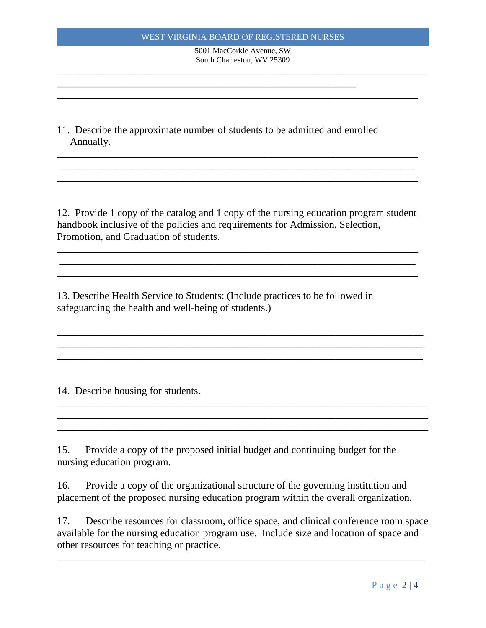### WEST VIRGINIA BOARD OF REGISTERED NURSES

5001 MacCorkle Avenue, SW South Charleston, WV 25309 \_\_\_\_\_\_\_\_\_\_\_\_\_\_\_\_\_\_\_\_\_\_\_\_\_\_\_\_\_\_\_\_\_\_\_\_\_\_\_\_\_\_\_\_\_\_\_\_\_\_\_\_\_\_\_\_\_\_\_\_\_\_\_\_\_\_\_\_\_\_\_\_

\_\_\_\_\_\_\_\_\_\_\_\_\_\_\_\_\_\_\_\_\_\_\_\_\_\_\_\_\_\_\_\_\_\_\_\_\_\_\_\_\_\_\_\_\_\_\_\_\_\_\_\_\_\_\_\_\_\_\_\_\_\_\_\_\_\_\_\_\_\_

\_\_\_\_\_\_\_\_\_\_\_\_\_\_\_\_\_\_\_\_\_\_\_\_\_\_\_\_\_\_\_\_\_\_\_\_\_\_\_\_\_\_\_\_\_\_\_\_\_\_\_\_\_\_\_\_\_\_\_\_\_\_\_\_\_\_\_\_\_\_ \_\_\_\_\_\_\_\_\_\_\_\_\_\_\_\_\_\_\_\_\_\_\_\_\_\_\_\_\_\_\_\_\_\_\_\_\_\_\_\_\_\_\_\_\_\_\_\_\_\_\_\_\_\_\_\_\_\_\_\_\_\_\_\_\_\_\_\_\_ \_\_\_\_\_\_\_\_\_\_\_\_\_\_\_\_\_\_\_\_\_\_\_\_\_\_\_\_\_\_\_\_\_\_\_\_\_\_\_\_\_\_\_\_\_\_\_\_\_\_\_\_\_\_\_\_\_\_\_\_\_\_\_\_\_\_\_\_\_\_

11. Describe the approximate number of students to be admitted and enrolled Annually.

\_\_\_\_\_\_\_\_\_\_\_\_\_\_\_\_\_\_\_\_\_\_\_\_\_\_\_\_\_\_\_\_\_\_\_\_\_\_\_\_\_\_\_\_\_\_\_\_\_\_\_\_\_\_\_\_\_\_

12. Provide 1 copy of the catalog and 1 copy of the nursing education program student handbook inclusive of the policies and requirements for Admission, Selection, Promotion, and Graduation of students.

\_\_\_\_\_\_\_\_\_\_\_\_\_\_\_\_\_\_\_\_\_\_\_\_\_\_\_\_\_\_\_\_\_\_\_\_\_\_\_\_\_\_\_\_\_\_\_\_\_\_\_\_\_\_\_\_\_\_\_\_\_\_\_\_\_\_\_\_\_\_ \_\_\_\_\_\_\_\_\_\_\_\_\_\_\_\_\_\_\_\_\_\_\_\_\_\_\_\_\_\_\_\_\_\_\_\_\_\_\_\_\_\_\_\_\_\_\_\_\_\_\_\_\_\_\_\_\_\_\_\_\_\_\_\_\_\_\_\_\_ \_\_\_\_\_\_\_\_\_\_\_\_\_\_\_\_\_\_\_\_\_\_\_\_\_\_\_\_\_\_\_\_\_\_\_\_\_\_\_\_\_\_\_\_\_\_\_\_\_\_\_\_\_\_\_\_\_\_\_\_\_\_\_\_\_\_\_\_\_\_

\_\_\_\_\_\_\_\_\_\_\_\_\_\_\_\_\_\_\_\_\_\_\_\_\_\_\_\_\_\_\_\_\_\_\_\_\_\_\_\_\_\_\_\_\_\_\_\_\_\_\_\_\_\_\_\_\_\_\_\_\_\_\_\_\_\_\_\_\_\_\_ \_\_\_\_\_\_\_\_\_\_\_\_\_\_\_\_\_\_\_\_\_\_\_\_\_\_\_\_\_\_\_\_\_\_\_\_\_\_\_\_\_\_\_\_\_\_\_\_\_\_\_\_\_\_\_\_\_\_\_\_\_\_\_\_\_\_\_\_\_\_\_ \_\_\_\_\_\_\_\_\_\_\_\_\_\_\_\_\_\_\_\_\_\_\_\_\_\_\_\_\_\_\_\_\_\_\_\_\_\_\_\_\_\_\_\_\_\_\_\_\_\_\_\_\_\_\_\_\_\_\_\_\_\_\_\_\_\_\_\_\_\_\_

\_\_\_\_\_\_\_\_\_\_\_\_\_\_\_\_\_\_\_\_\_\_\_\_\_\_\_\_\_\_\_\_\_\_\_\_\_\_\_\_\_\_\_\_\_\_\_\_\_\_\_\_\_\_\_\_\_\_\_\_\_\_\_\_\_\_\_\_\_\_\_\_ \_\_\_\_\_\_\_\_\_\_\_\_\_\_\_\_\_\_\_\_\_\_\_\_\_\_\_\_\_\_\_\_\_\_\_\_\_\_\_\_\_\_\_\_\_\_\_\_\_\_\_\_\_\_\_\_\_\_\_\_\_\_\_\_\_\_\_\_\_\_\_\_ \_\_\_\_\_\_\_\_\_\_\_\_\_\_\_\_\_\_\_\_\_\_\_\_\_\_\_\_\_\_\_\_\_\_\_\_\_\_\_\_\_\_\_\_\_\_\_\_\_\_\_\_\_\_\_\_\_\_\_\_\_\_\_\_\_\_\_\_\_\_\_\_

13. Describe Health Service to Students: (Include practices to be followed in safeguarding the health and well-being of students.)

14. Describe housing for students.

15. Provide a copy of the proposed initial budget and continuing budget for the nursing education program.

16. Provide a copy of the organizational structure of the governing institution and placement of the proposed nursing education program within the overall organization.

17. Describe resources for classroom, office space, and clinical conference room space available for the nursing education program use. Include size and location of space and other resources for teaching or practice.

\_\_\_\_\_\_\_\_\_\_\_\_\_\_\_\_\_\_\_\_\_\_\_\_\_\_\_\_\_\_\_\_\_\_\_\_\_\_\_\_\_\_\_\_\_\_\_\_\_\_\_\_\_\_\_\_\_\_\_\_\_\_\_\_\_\_\_\_\_\_\_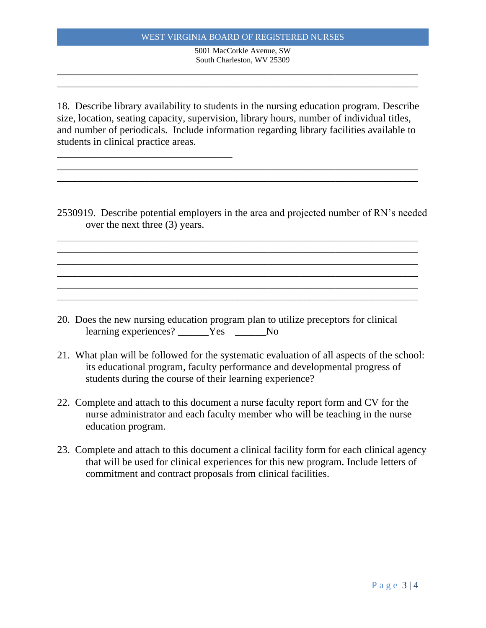#### WEST VIRGINIA BOARD OF REGISTERED NURSES

5001 MacCorkle Avenue, SW South Charleston, WV 25309

\_\_\_\_\_\_\_\_\_\_\_\_\_\_\_\_\_\_\_\_\_\_\_\_\_\_\_\_\_\_\_\_\_\_\_\_\_\_\_\_\_\_\_\_\_\_\_\_\_\_\_\_\_\_\_\_\_\_\_\_\_\_\_\_\_\_\_\_\_\_ \_\_\_\_\_\_\_\_\_\_\_\_\_\_\_\_\_\_\_\_\_\_\_\_\_\_\_\_\_\_\_\_\_\_\_\_\_\_\_\_\_\_\_\_\_\_\_\_\_\_\_\_\_\_\_\_\_\_\_\_\_\_\_\_\_\_\_\_\_\_

18. Describe library availability to students in the nursing education program. Describe size, location, seating capacity, supervision, library hours, number of individual titles, and number of periodicals. Include information regarding library facilities available to students in clinical practice areas.

\_\_\_\_\_\_\_\_\_\_\_\_\_\_\_\_\_\_\_\_\_\_\_\_\_\_\_\_\_\_\_\_\_\_\_\_\_\_\_\_\_\_\_\_\_\_\_\_\_\_\_\_\_\_\_\_\_\_\_\_\_\_\_\_\_\_\_\_\_\_ \_\_\_\_\_\_\_\_\_\_\_\_\_\_\_\_\_\_\_\_\_\_\_\_\_\_\_\_\_\_\_\_\_\_\_\_\_\_\_\_\_\_\_\_\_\_\_\_\_\_\_\_\_\_\_\_\_\_\_\_\_\_\_\_\_\_\_\_\_\_

\_\_\_\_\_\_\_\_\_\_\_\_\_\_\_\_\_\_\_\_\_\_\_\_\_\_\_\_\_\_\_\_\_\_

2530919. Describe potential employers in the area and projected number of RN's needed over the next three (3) years.

\_\_\_\_\_\_\_\_\_\_\_\_\_\_\_\_\_\_\_\_\_\_\_\_\_\_\_\_\_\_\_\_\_\_\_\_\_\_\_\_\_\_\_\_\_\_\_\_\_\_\_\_\_\_\_\_\_\_\_\_\_\_\_\_\_\_\_\_\_\_ \_\_\_\_\_\_\_\_\_\_\_\_\_\_\_\_\_\_\_\_\_\_\_\_\_\_\_\_\_\_\_\_\_\_\_\_\_\_\_\_\_\_\_\_\_\_\_\_\_\_\_\_\_\_\_\_\_\_\_\_\_\_\_\_\_\_\_\_\_\_ \_\_\_\_\_\_\_\_\_\_\_\_\_\_\_\_\_\_\_\_\_\_\_\_\_\_\_\_\_\_\_\_\_\_\_\_\_\_\_\_\_\_\_\_\_\_\_\_\_\_\_\_\_\_\_\_\_\_\_\_\_\_\_\_\_\_\_\_\_\_ \_\_\_\_\_\_\_\_\_\_\_\_\_\_\_\_\_\_\_\_\_\_\_\_\_\_\_\_\_\_\_\_\_\_\_\_\_\_\_\_\_\_\_\_\_\_\_\_\_\_\_\_\_\_\_\_\_\_\_\_\_\_\_\_\_\_\_\_\_\_ \_\_\_\_\_\_\_\_\_\_\_\_\_\_\_\_\_\_\_\_\_\_\_\_\_\_\_\_\_\_\_\_\_\_\_\_\_\_\_\_\_\_\_\_\_\_\_\_\_\_\_\_\_\_\_\_\_\_\_\_\_\_\_\_\_\_\_\_\_\_ \_\_\_\_\_\_\_\_\_\_\_\_\_\_\_\_\_\_\_\_\_\_\_\_\_\_\_\_\_\_\_\_\_\_\_\_\_\_\_\_\_\_\_\_\_\_\_\_\_\_\_\_\_\_\_\_\_\_\_\_\_\_\_\_\_\_\_\_\_\_

20. Does the new nursing education program plan to utilize preceptors for clinical learning experiences? The Yes No

- 21. What plan will be followed for the systematic evaluation of all aspects of the school: its educational program, faculty performance and developmental progress of students during the course of their learning experience?
- 22. Complete and attach to this document a nurse faculty report form and CV for the nurse administrator and each faculty member who will be teaching in the nurse education program.
- 23. Complete and attach to this document a clinical facility form for each clinical agency that will be used for clinical experiences for this new program. Include letters of commitment and contract proposals from clinical facilities.